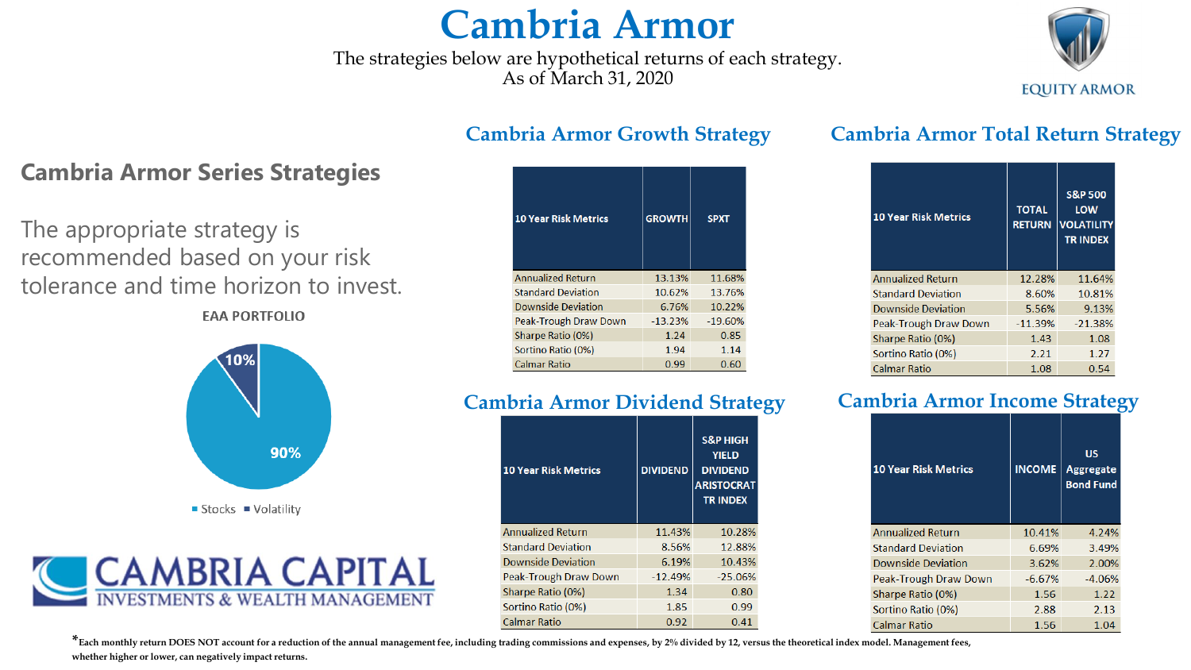## **Cambria Armor**

The strategies below are hypothetical returns of each strategy. As of March 31, 2020



#### **Cambria Armor Growth Strategy**

| <b>10 Year Risk Metrics</b> | <b>GROWTH</b> | <b>SPXT</b> |
|-----------------------------|---------------|-------------|
| <b>Annualized Return</b>    | 13.13%        | 11.68%      |
| <b>Standard Deviation</b>   | 10.62%        | 13.76%      |
| Downside Deviation          | 6.76%         | 10.22%      |
| Peak-Trough Draw Down       | $-13.23%$     | $-19.60%$   |
| Sharpe Ratio (0%)           | 1.24          | 0.85        |
| Sortino Ratio (0%)          | 1.94          | 1.14        |
| Calmar Ratio                | 0.99          | 0.60        |

#### **Cambria Armor Dividend Strategy**

| <b>10 Year Risk Metrics</b> | <b>DIVIDEND</b> | <b>S&amp;P HIGH</b><br><b>YIELD</b><br><b>DIVIDEND</b><br><b>ARISTOCRAT</b><br><b>TRINDEX</b> |
|-----------------------------|-----------------|-----------------------------------------------------------------------------------------------|
| <b>Annualized Return</b>    | 11.43%          | 10.28%                                                                                        |
| <b>Standard Deviation</b>   | 8.56%           | 12.88%                                                                                        |
| <b>Downside Deviation</b>   | 6.19%           | 10.43%                                                                                        |
| Peak-Trough Draw Down       | $-12.49%$       | $-25.06%$                                                                                     |
| Sharpe Ratio (0%)           | 1.34            | 0.80                                                                                          |
| Sortino Ratio (0%)          | 1.85            | 0.99                                                                                          |
| Calmar Ratio                | 0.92            | 0.41                                                                                          |

#### **Cambria Armor Total Return Strategy**

| <b>10 Year Risk Metrics</b> | <b>TOTAL</b><br><b>RETURN</b> | <b>S&amp;P 500</b><br>LOW<br><b>VOLATILITY</b><br><b>TRINDEX</b> |
|-----------------------------|-------------------------------|------------------------------------------------------------------|
| <b>Annualized Return</b>    | 12.28%                        | 11.64%                                                           |
| <b>Standard Deviation</b>   | 8.60%                         | 10.81%                                                           |
| Downside Deviation          | 5.56%                         | 9.13%                                                            |
| Peak-Trough Draw Down       | $-11.39%$                     | $-21.38%$                                                        |
| Sharpe Ratio (0%)           | 1.43                          | 1.08                                                             |
| Sortino Ratio (0%)          | 2.21                          | 1.27                                                             |
| <b>Calmar Ratio</b>         | 1.08                          | 0.54                                                             |

#### **Cambria Armor Income Strategy**

| <b>10 Year Risk Metrics</b> | <b>INCOME</b> | บร<br><b>Aggregate</b><br><b>Bond Fund</b> |
|-----------------------------|---------------|--------------------------------------------|
| <b>Annualized Return</b>    | 10.41%        | 4.24%                                      |
| <b>Standard Deviation</b>   | 6.69%         | 3.49%                                      |
| Downside Deviation          | 3.62%         | 2.00%                                      |
| Peak-Trough Draw Down       | $-6.67%$      | $-4.06%$                                   |
| Sharpe Ratio (0%)           | 1.56          | 1.22                                       |
| Sortino Ratio (0%)          | 2.88          | 2.13                                       |
| Calmar Ratio                | 1.56          | 1.04                                       |

### **Cambria Armor Series Strategies**

The appropriate strategy is recommended based on your risk tolerance and time horizon to invest. **EAA PORTFOLIO** 





**\*Each monthly return DOES NOT account for a reduction of the annual management fee, including trading commissions and expenses, by 2% divided by 12, versus the theoretical index model. Management fees, whether higher or lower, can negatively impact returns.**